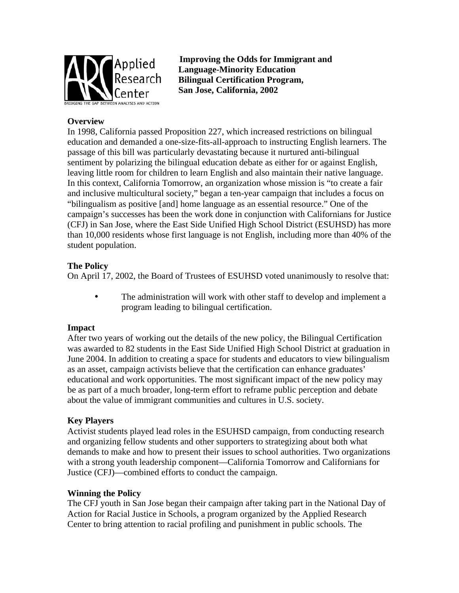

**Improving the Odds for Immigrant and Language-Minority Education Bilingual Certification Program, San Jose, California, 2002**

# **Overview**

In 1998, California passed Proposition 227, which increased restrictions on bilingual education and demanded a one-size-fits-all-approach to instructing English learners. The passage of this bill was particularly devastating because it nurtured anti-bilingual sentiment by polarizing the bilingual education debate as either for or against English, leaving little room for children to learn English and also maintain their native language. In this context, California Tomorrow, an organization whose mission is "to create a fair and inclusive multicultural society," began a ten-year campaign that includes a focus on "bilingualism as positive [and] home language as an essential resource." One of the campaign's successes has been the work done in conjunction with Californians for Justice (CFJ) in San Jose, where the East Side Unified High School District (ESUHSD) has more than 10,000 residents whose first language is not English, including more than 40% of the student population.

## **The Policy**

On April 17, 2002, the Board of Trustees of ESUHSD voted unanimously to resolve that:

The administration will work with other staff to develop and implement a program leading to bilingual certification.

## **Impact**

After two years of working out the details of the new policy, the Bilingual Certification was awarded to 82 students in the East Side Unified High School District at graduation in June 2004. In addition to creating a space for students and educators to view bilingualism as an asset, campaign activists believe that the certification can enhance graduates' educational and work opportunities. The most significant impact of the new policy may be as part of a much broader, long-term effort to reframe public perception and debate about the value of immigrant communities and cultures in U.S. society.

## **Key Players**

Activist students played lead roles in the ESUHSD campaign, from conducting research and organizing fellow students and other supporters to strategizing about both what demands to make and how to present their issues to school authorities. Two organizations with a strong youth leadership component—California Tomorrow and Californians for Justice (CFJ)—combined efforts to conduct the campaign.

#### **Winning the Policy**

The CFJ youth in San Jose began their campaign after taking part in the National Day of Action for Racial Justice in Schools, a program organized by the Applied Research Center to bring attention to racial profiling and punishment in public schools. The